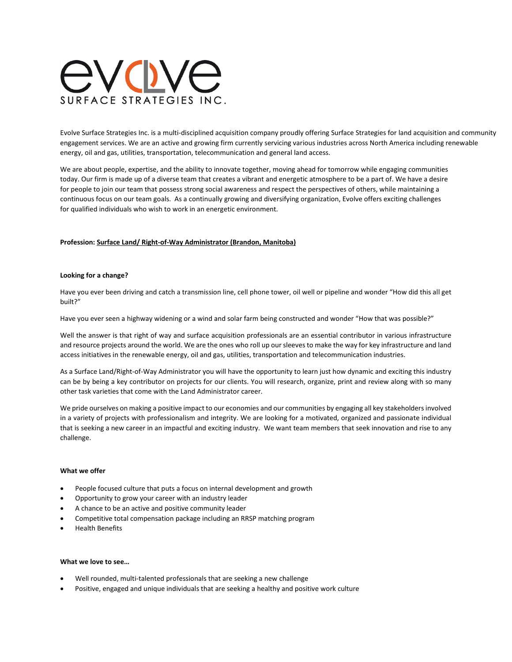

Evolve Surface Strategies Inc. is a multi-disciplined acquisition company proudly offering Surface Strategies for land acquisition and community engagement services. We are an active and growing firm currently servicing various industries across North America including renewable energy, oil and gas, utilities, transportation, telecommunication and general land access.

We are about people, expertise, and the ability to innovate together, moving ahead for tomorrow while engaging communities today. Our firm is made up of a diverse team that creates a vibrant and energetic atmosphere to be a part of. We have a desire for people to join our team that possess strong social awareness and respect the perspectives of others, while maintaining a continuous focus on our team goals. As a continually growing and diversifying organization, Evolve offers exciting challenges for qualified individuals who wish to work in an energetic environment.

## **Profession: Surface Land/ Right-of-Way Administrator (Brandon, Manitoba)**

## **Looking for a change?**

Have you ever been driving and catch a transmission line, cell phone tower, oil well or pipeline and wonder "How did this all get built?"

Have you ever seen a highway widening or a wind and solar farm being constructed and wonder "How that was possible?"

Well the answer is that right of way and surface acquisition professionals are an essential contributor in various infrastructure and resource projects around the world. We are the ones who roll up our sleeves to make the way for key infrastructure and land access initiatives in the renewable energy, oil and gas, utilities, transportation and telecommunication industries.

As a Surface Land/Right-of-Way Administrator you will have the opportunity to learn just how dynamic and exciting this industry can be by being a key contributor on projects for our clients. You will research, organize, print and review along with so many other task varieties that come with the Land Administrator career.

We pride ourselves on making a positive impact to our economies and our communities by engaging all key stakeholders involved in a variety of projects with professionalism and integrity. We are looking for a motivated, organized and passionate individual that is seeking a new career in an impactful and exciting industry. We want team members that seek innovation and rise to any challenge.

## **What we offer**

- People focused culture that puts a focus on internal development and growth
- Opportunity to grow your career with an industry leader
- A chance to be an active and positive community leader
- Competitive total compensation package including an RRSP matching program
- Health Benefits

## **What we love to see…**

- Well rounded, multi-talented professionals that are seeking a new challenge
- Positive, engaged and unique individuals that are seeking a healthy and positive work culture